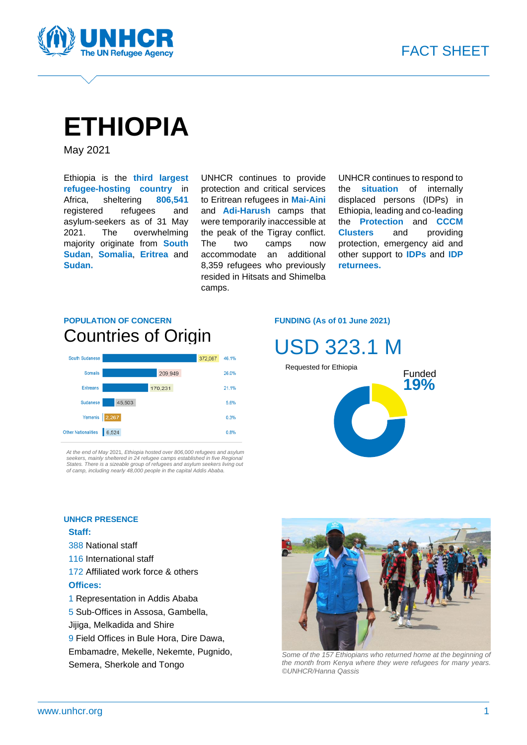

# **ETHIOPIA**

May 2021

Ethiopia is the **third largest refugee-hosting country** in Africa, sheltering **806,541** registered refugees and asylum-seekers as of 31 May 2021. The overwhelming majority originate from **South Sudan**, **Somalia**, **Eritrea** and **Sudan.**

UNHCR continues to provide protection and critical services to Eritrean refugees in **Mai-Aini** and **Adi-Harush** camps that were temporarily inaccessible at the peak of the Tigray conflict. The two camps now accommodate an additional 8,359 refugees who previously resided in Hitsats and Shimelba camps.

UNHCR continues to respond to the **situation** of internally displaced persons (IDPs) in Ethiopia, leading and co-leading the **Protection** and **CCCM Clusters** and providing protection, emergency aid and other support to **IDPs** and **IDP returnees.**

### **POPULATION OF CONCERN** Countries of Origin



*At the end of May* 2021*, Ethiopia hosted over 806,*0*00 refugees and asylum*  seekers, mainly sheltered in 24 refugee camps established in five Regional<br>States. There is a sizeable group of refugees and asylum seekers living out<br>of camp, including nearly 48,000 people in the capital Addis Ababa.

#### **FUNDING (As of 01 June 2021)**





#### **UNHCR PRESENCE**

#### **Staff:**

- 388 National staff
- 116 International staff
- 172 Affiliated work force & others **Offices:**
- 1 Representation in Addis Ababa
- 5 Sub-Offices in Assosa, Gambella,
- Jijiga, Melkadida and Shire
- 9 Field Offices in Bule Hora, Dire Dawa,
- Embamadre, Mekelle, Nekemte, Pugnido, Semera, Sherkole and Tongo



*Some of the 157 Ethiopians who returned home at the beginning of the month from Kenya where they were refugees for many years. ©UNHCR/Hanna Qassis*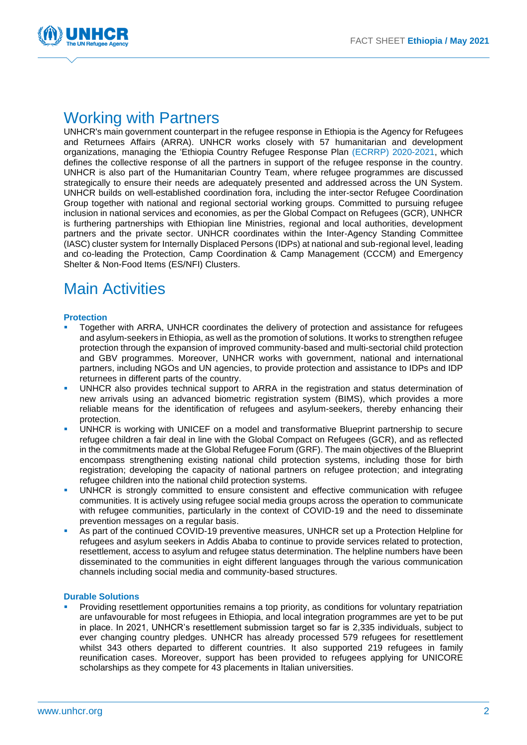

### Working with [Partners](https://data2.unhcr.org/en/documents/details/73572)

UNHCR's main government counterpart in the refugee response in Ethiopia is the Agency for Refugees and Returnees Affairs (ARRA). UNHCR works closely with 57 humanitarian and development organizations, managing the 'Ethiopia Country Refugee Response Plan [\(ECRRP\) 2020-2021,](https://data2.unhcr.org/en/documents/details/73572) which defines the collective response of all the partners in support of the refugee response in the country. UNHCR is also part of the Humanitarian Country Team, where refugee programmes are discussed strategically to ensure their needs are adequately presented and addressed across the UN System. UNHCR builds on well-established coordination fora, including the inter-sector Refugee Coordination Group together with national and regional sectorial working groups. Committed to pursuing refugee inclusion in national services and economies, as per the Global Compact on Refugees (GCR), UNHCR is furthering partnerships with Ethiopian line Ministries, regional and local authorities, development partners and the private sector. UNHCR coordinates within the Inter-Agency Standing Committee (IASC) cluster system for Internally Displaced Persons (IDPs) at national and sub-regional level, leading and co-leading the Protection, Camp Coordination & Camp Management (CCCM) and Emergency Shelter & Non-Food Items (ES/NFI) Clusters.

### Main Activities

#### **Protection**

- Together with ARRA, UNHCR coordinates the delivery of protection and assistance for refugees and asylum-seekers in Ethiopia, as well as the promotion of solutions. It works to strengthen refugee protection through the expansion of improved community-based and multi-sectorial child protection and GBV programmes. Moreover, UNHCR works with government, national and international partners, including NGOs and UN agencies, to provide protection and assistance to IDPs and IDP returnees in different parts of the country.
- UNHCR also provides technical support to ARRA in the registration and status determination of new arrivals using an advanced biometric registration system (BIMS), which provides a more reliable means for the identification of refugees and asylum-seekers, thereby enhancing their protection.
- UNHCR is working with UNICEF on a model and transformative Blueprint partnership to secure refugee children a fair deal in line with the Global Compact on Refugees (GCR), and as reflected in the commitments made at the Global Refugee Forum (GRF). The main objectives of the Blueprint encompass strengthening existing national child protection systems, including those for birth registration; developing the capacity of national partners on refugee protection; and integrating refugee children into the national child protection systems.
- UNHCR is strongly committed to ensure consistent and effective communication with refugee communities. It is actively using refugee social media groups across the operation to communicate with refugee communities, particularly in the context of COVID-19 and the need to disseminate prevention messages on a regular basis.
- As part of the continued COVID-19 preventive measures, UNHCR set up a Protection Helpline for refugees and asylum seekers in Addis Ababa to continue to provide services related to protection, resettlement, access to asylum and refugee status determination. The helpline numbers have been disseminated to the communities in eight different languages through the various communication channels including social media and community-based structures.

#### **Durable Solutions**

Providing resettlement opportunities remains a top priority, as conditions for voluntary repatriation are unfavourable for most refugees in Ethiopia, and local integration programmes are yet to be put in place. In 2021, UNHCR's resettlement submission target so far is 2,335 individuals, subject to ever changing country pledges. UNHCR has already processed 579 refugees for resettlement whilst 343 others departed to different countries. It also supported 219 refugees in family reunification cases. Moreover, support has been provided to refugees applying for UNICORE scholarships as they compete for 43 placements in Italian universities.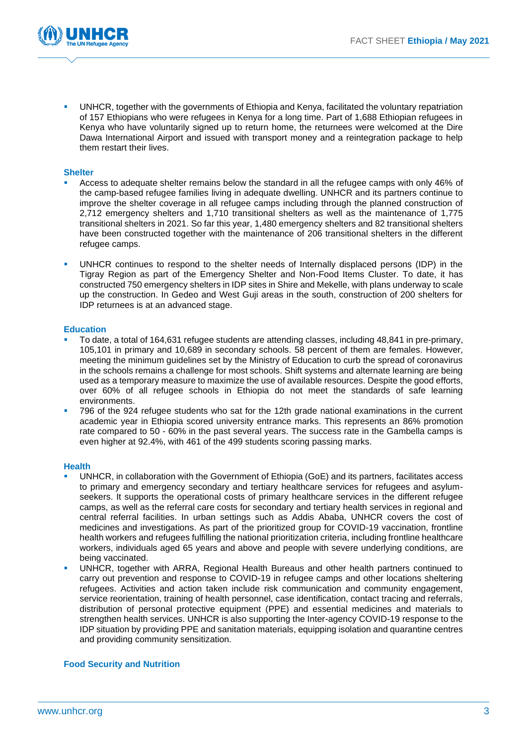

UNHCR, together with the governments of Ethiopia and Kenya, facilitated the voluntary repatriation of 157 Ethiopians who were refugees in Kenya for a long time. Part of 1,688 Ethiopian refugees in Kenya who have voluntarily signed up to return home, the returnees were welcomed at the Dire Dawa International Airport and issued with transport money and a reintegration package to help them restart their lives.

#### **Shelter**

- Access to adequate shelter remains below the standard in all the refugee camps with only 46% of the camp-based refugee families living in adequate dwelling. UNHCR and its partners continue to improve the shelter coverage in all refugee camps including through the planned construction of 2,712 emergency shelters and 1,710 transitional shelters as well as the maintenance of 1,775 transitional shelters in 2021. So far this year, 1,480 emergency shelters and 82 transitional shelters have been constructed together with the maintenance of 206 transitional shelters in the different refugee camps.
- UNHCR continues to respond to the shelter needs of Internally displaced persons (IDP) in the Tigray Region as part of the Emergency Shelter and Non-Food Items Cluster. To date, it has constructed 750 emergency shelters in IDP sites in Shire and Mekelle, with plans underway to scale up the construction. In Gedeo and West Guji areas in the south, construction of 200 shelters for IDP returnees is at an advanced stage.

#### **Education**

- To date, a total of 164,631 refugee students are attending classes, including 48,841 in pre-primary, 105,101 in primary and 10,689 in secondary schools. 58 percent of them are females. However, meeting the minimum guidelines set by the Ministry of Education to curb the spread of coronavirus in the schools remains a challenge for most schools. Shift systems and alternate learning are being used as a temporary measure to maximize the use of available resources. Despite the good efforts, over 60% of all refugee schools in Ethiopia do not meet the standards of safe learning environments.
- 796 of the 924 refugee students who sat for the 12th grade national examinations in the current academic year in Ethiopia scored university entrance marks. This represents an 86% promotion rate compared to 50 - 60% in the past several years. The success rate in the Gambella camps is even higher at 92.4%, with 461 of the 499 students scoring passing marks.

#### **Health**

- UNHCR, in collaboration with the Government of Ethiopia (GoE) and its partners, facilitates access to primary and emergency secondary and tertiary healthcare services for refugees and asylumseekers. It supports the operational costs of primary healthcare services in the different refugee camps, as well as the referral care costs for secondary and tertiary health services in regional and central referral facilities. In urban settings such as Addis Ababa, UNHCR covers the cost of medicines and investigations. As part of the prioritized group for COVID-19 vaccination, frontline health workers and refugees fulfilling the national prioritization criteria, including frontline healthcare workers, individuals aged 65 years and above and people with severe underlying conditions, are being vaccinated.
- UNHCR, together with ARRA, Regional Health Bureaus and other health partners continued to carry out prevention and response to COVID-19 in refugee camps and other locations sheltering refugees. Activities and action taken include risk communication and community engagement, service reorientation, training of health personnel, case identification, contact tracing and referrals, distribution of personal protective equipment (PPE) and essential medicines and materials to strengthen health services. UNHCR is also supporting the Inter-agency COVID-19 response to the IDP situation by providing PPE and sanitation materials, equipping isolation and quarantine centres and providing community sensitization.

#### **Food Security and Nutrition**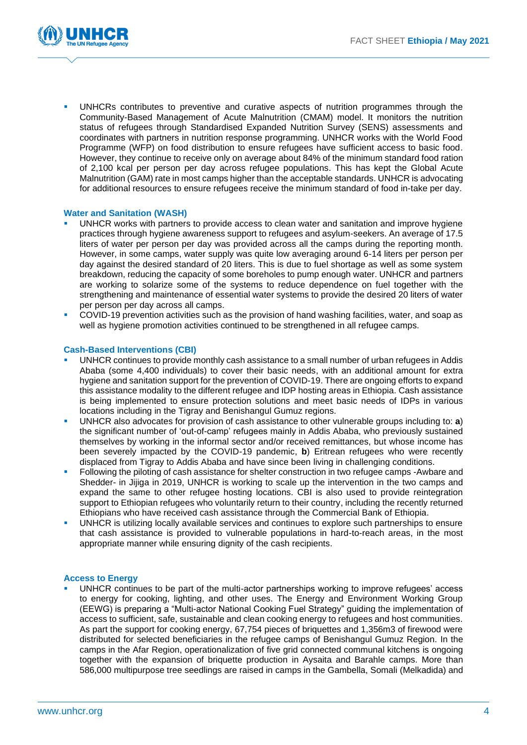

UNHCRs contributes to preventive and curative aspects of nutrition programmes through the Community-Based Management of Acute Malnutrition (CMAM) model. It monitors the nutrition status of refugees through Standardised Expanded Nutrition Survey (SENS) assessments and coordinates with partners in nutrition response programming. UNHCR works with the World Food Programme (WFP) on food distribution to ensure refugees have sufficient access to basic food. However, they continue to receive only on average about 84% of the minimum standard food ration of 2,100 kcal per person per day across refugee populations. This has kept the Global Acute Malnutrition (GAM) rate in most camps higher than the acceptable standards. UNHCR is advocating for additional resources to ensure refugees receive the minimum standard of food in-take per day.

#### **Water and Sanitation (WASH)**

- UNHCR works with partners to provide access to clean water and sanitation and improve hygiene practices through hygiene awareness support to refugees and asylum-seekers. An average of 17.5 liters of water per person per day was provided across all the camps during the reporting month. However, in some camps, water supply was quite low averaging around 6-14 liters per person per day against the desired standard of 20 liters. This is due to fuel shortage as well as some system breakdown, reducing the capacity of some boreholes to pump enough water. UNHCR and partners are working to solarize some of the systems to reduce dependence on fuel together with the strengthening and maintenance of essential water systems to provide the desired 20 liters of water per person per day across all camps.
- COVID-19 prevention activities such as the provision of hand washing facilities, water, and soap as well as hygiene promotion activities continued to be strengthened in all refugee camps.

#### **Cash-Based Interventions (CBI)**

- UNHCR continues to provide monthly cash assistance to a small number of urban refugees in Addis Ababa (some 4,400 individuals) to cover their basic needs, with an additional amount for extra hygiene and sanitation support for the prevention of COVID-19. There are ongoing efforts to expand this assistance modality to the different refugee and IDP hosting areas in Ethiopia. Cash assistance is being implemented to ensure protection solutions and meet basic needs of IDPs in various locations including in the Tigray and Benishangul Gumuz regions.
- UNHCR also advocates for provision of cash assistance to other vulnerable groups including to: **a**) the significant number of 'out-of-camp' refugees mainly in Addis Ababa, who previously sustained themselves by working in the informal sector and/or received remittances, but whose income has been severely impacted by the COVID-19 pandemic, **b**) Eritrean refugees who were recently displaced from Tigray to Addis Ababa and have since been living in challenging conditions.
- Following the piloting of cash assistance for shelter construction in two refugee camps -Awbare and Shedder- in Jijiga in 2019, UNHCR is working to scale up the intervention in the two camps and expand the same to other refugee hosting locations. CBI is also used to provide reintegration support to Ethiopian refugees who voluntarily return to their country, including the recently returned Ethiopians who have received cash assistance through the Commercial Bank of Ethiopia.
- UNHCR is utilizing locally available services and continues to explore such partnerships to ensure that cash assistance is provided to vulnerable populations in hard-to-reach areas, in the most appropriate manner while ensuring dignity of the cash recipients.

#### **Access to Energy**

UNHCR continues to be part of the multi-actor partnerships working to improve refugees' access to energy for cooking, lighting, and other uses. The Energy and Environment Working Group (EEWG) is preparing a "Multi-actor National Cooking Fuel Strategy" guiding the implementation of access to sufficient, safe, sustainable and clean cooking energy to refugees and host communities. As part the support for cooking energy, 67,754 pieces of briquettes and 1,356m3 of firewood were distributed for selected beneficiaries in the refugee camps of Benishangul Gumuz Region. In the camps in the Afar Region, operationalization of five grid connected communal kitchens is ongoing together with the expansion of briquette production in Aysaita and Barahle camps. More than 586,000 multipurpose tree seedlings are raised in camps in the Gambella, Somali (Melkadida) and